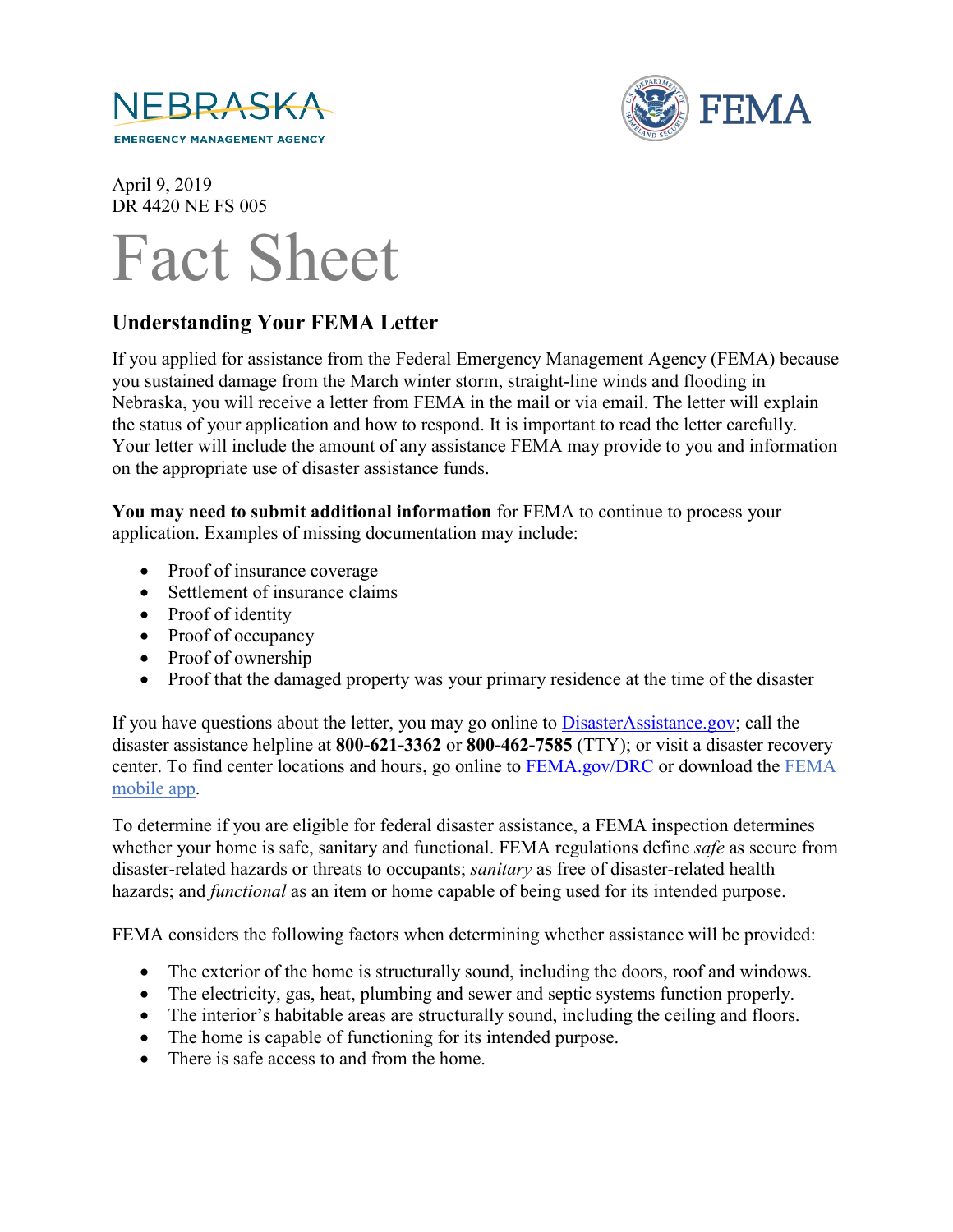



April 9, 2019 DR 4420 NE FS 005



## **Understanding Your FEMA Letter**

If you applied for assistance from the Federal Emergency Management Agency (FEMA) because you sustained damage from the March winter storm, straight-line winds and flooding in Nebraska, you will receive a letter from FEMA in the mail or via email. The letter will explain the status of your application and how to respond. It is important to read the letter carefully. Your letter will include the amount of any assistance FEMA may provide to you and information on the appropriate use of disaster assistance funds.

**You may need to submit additional information** for FEMA to continue to process your application. Examples of missing documentation may include:

- Proof of insurance coverage
- Settlement of insurance claims
- Proof of identity
- Proof of occupancy
- Proof of ownership
- Proof that the damaged property was your primary residence at the time of the disaster

If you have questions about the letter, you may go online to **DisasterAssistance.gov**; call the disaster assistance helpline at **800-621-3362** or **800-462-7585** (TTY); or visit a disaster recovery center. To find center locations and hours, go online to [FEMA.gov/DRC](https://www.fema.gov/disaster-recovery-centers) or download the [FEMA](https://www.fema.gov/mobile-app)  [mobile app.](https://www.fema.gov/mobile-app)

To determine if you are eligible for federal disaster assistance, a FEMA inspection determines whether your home is safe, sanitary and functional. FEMA regulations define *safe* as secure from disaster-related hazards or threats to occupants; *sanitary* as free of disaster-related health hazards; and *functional* as an item or home capable of being used for its intended purpose.

FEMA considers the following factors when determining whether assistance will be provided:

- The exterior of the home is structurally sound, including the doors, roof and windows.
- The electricity, gas, heat, plumbing and sewer and septic systems function properly.
- The interior's habitable areas are structurally sound, including the ceiling and floors.
- The home is capable of functioning for its intended purpose.
- There is safe access to and from the home.